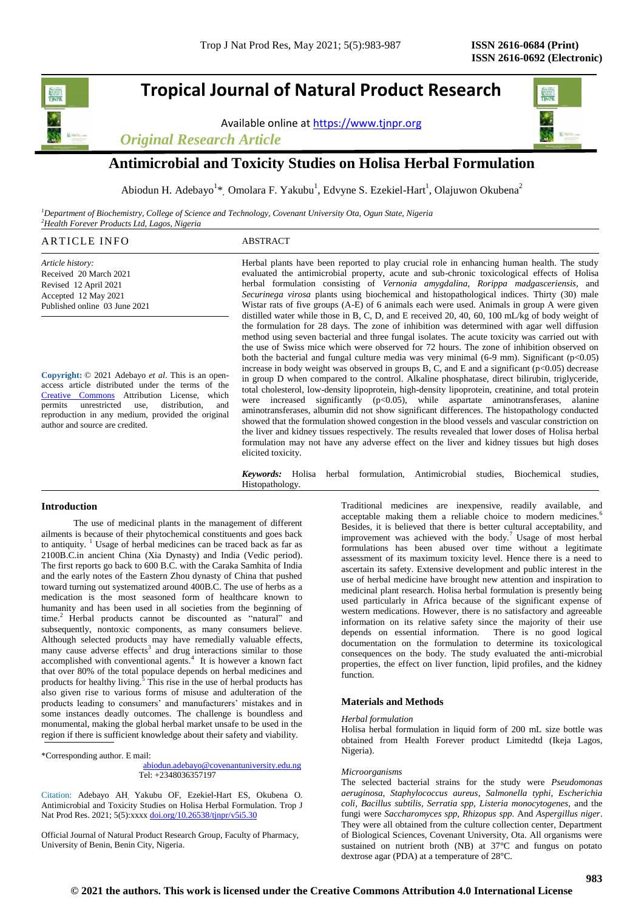# **Tropical Journal of Natural Product Research**

Available online a[t https://www.tjnpr.org](https://www.tjnpr.org/)





# **Antimicrobial and Toxicity Studies on Holisa Herbal Formulation**

Abiodun H. Adebayo<sup>1\*</sup>, Omolara F. Yakubu<sup>1</sup>, Edvyne S. Ezekiel-Hart<sup>1</sup>, Olajuwon Okubena<sup>2</sup>

*<sup>1</sup>Department of Biochemistry, College of Science and Technology, Covenant University Ota, Ogun State, Nigeria <sup>2</sup>Health Forever Products Ltd, Lagos, Nigeria*

# ARTICLE INFO ABSTRACT

*Article history:* Received 20 March 2021 Revised 12 April 2021 Accepted 12 May 2021 Published online 03 June 2021

**Copyright:** © 2021 Adebayo *et al*. This is an openaccess article distributed under the terms of the [Creative Commons](https://creativecommons.org/licenses/by/4.0/) Attribution License, which permits unrestricted use, distribution, and reproduction in any medium, provided the original author and source are credited.

Herbal plants have been reported to play crucial role in enhancing human health. The study evaluated the antimicrobial property, acute and sub-chronic toxicological effects of Holisa herbal formulation consisting of *Vernonia amygdalina, Rorippa madgasceriensis,* and *Securinega virosa* plants using biochemical and histopathological indices. Thirty (30) male Wistar rats of five groups (A-E) of 6 animals each were used. Animals in group A were given distilled water while those in B, C, D, and E received 20, 40, 60, 100 mL/kg of body weight of the formulation for 28 days. The zone of inhibition was determined with agar well diffusion method using seven bacterial and three fungal isolates. The acute toxicity was carried out with the use of Swiss mice which were observed for 72 hours. The zone of inhibition observed on both the bacterial and fungal culture media was very minimal  $(6-9 \text{ mm})$ . Significant  $(p<0.05)$ increase in body weight was observed in groups B, C, and E and a significant  $(p<0.05)$  decrease in group D when compared to the control. Alkaline phosphatase, direct bilirubin, triglyceride, total cholesterol, low-density lipoprotein, high-density lipoprotein, creatinine, and total protein were increased significantly  $(p<0.05)$ , while aspartate aminotransferases, alanine aminotransferases, albumin did not show significant differences. The histopathology conducted showed that the formulation showed congestion in the blood vessels and vascular constriction on the liver and kidney tissues respectively. The results revealed that lower doses of Holisa herbal formulation may not have any adverse effect on the liver and kidney tissues but high doses elicited toxicity.

*Keywords:* Holisa herbal formulation, Antimicrobial studies, Biochemical studies, Histopathology.

### **Introduction**

 The use of medicinal plants in the management of different ailments is because of their phytochemical constituents and goes back to antiquity. <sup>1</sup> Usage of herbal medicines can be traced back as far as 2100B.C.in ancient China (Xia Dynasty) and India (Vedic period). The first reports go back to 600 B.C. with the Caraka Samhita of India and the early notes of the Eastern Zhou dynasty of China that pushed toward turning out systematized around 400B.C. The use of herbs as a medication is the most seasoned form of healthcare known to humanity and has been used in all societies from the beginning of time.<sup>2</sup> Herbal products cannot be discounted as "natural" and subsequently, nontoxic components, as many consumers believe. Although selected products may have remedially valuable effects, many cause adverse effects<sup>3</sup> and drug interactions similar to those accomplished with conventional agents.<sup>4</sup> It is however a known fact that over 80% of the total populace depends on herbal medicines and products for healthy living. $5$  This rise in the use of herbal products has also given rise to various forms of misuse and adulteration of the products leading to consumers' and manufacturers' mistakes and in some instances deadly outcomes. The challenge is boundless and monumental, making the global herbal market unsafe to be used in the region if there is sufficient knowledge about their safety and viability.

\*Corresponding author. E mail:

 [abiodun.adebayo@covenantuniversity.edu.ng](mailto:abiodun.adebayo@covenantuniversity.edu.ng) Tel: +2348036357197

Citation: Adebayo AH, Yakubu OF, Ezekiel-Hart ES, Okubena O. Antimicrobial and Toxicity Studies on Holisa Herbal Formulation. Trop J Nat Prod Res. 2021; 5(5):xxxx [doi.org/10.26538/tjnpr/v5i5.3](http://www.doi.org/10.26538/tjnpr/v1i4.5)0

Official Journal of Natural Product Research Group, Faculty of Pharmacy, University of Benin, Benin City, Nigeria.

Traditional medicines are inexpensive, readily available, and acceptable making them a reliable choice to modern medicines.<sup>6</sup> Besides, it is believed that there is better cultural acceptability, and improvement was achieved with the body.<sup>7</sup> Usage of most herbal formulations has been abused over time without a legitimate assessment of its maximum toxicity level. Hence there is a need to ascertain its safety. Extensive development and public interest in the use of herbal medicine have brought new attention and inspiration to medicinal plant research. Holisa herbal formulation is presently being used particularly in Africa because of the significant expense of western medications. However, there is no satisfactory and agreeable information on its relative safety since the majority of their use depends on essential information. There is no good logical documentation on the formulation to determine its toxicological consequences on the body. The study evaluated the anti-microbial properties, the effect on liver function, lipid profiles, and the kidney function.

# **Materials and Methods**

#### *Herbal formulation*

Holisa herbal formulation in liquid form of 200 mL size bottle was obtained from Health Forever product Limitedtd (Ikeja Lagos, Nigeria).

#### *Microorganisms*

The selected bacterial strains for the study were *Pseudomonas aeruginosa*, *Staphylococcus aureus*, *Salmonella typhi, Escherichia coli, Bacillus subtilis, Serratia spp, Listeria monocytogenes,* and the fungi were *Saccharomyces spp, Rhizopus spp.* And *Aspergillus niger*. They were all obtained from the culture collection center, Department of Biological Sciences, Covenant University, Ota. All organisms were sustained on nutrient broth (NB) at 37°C and fungus on potato dextrose agar (PDA) at a temperature of 28°C.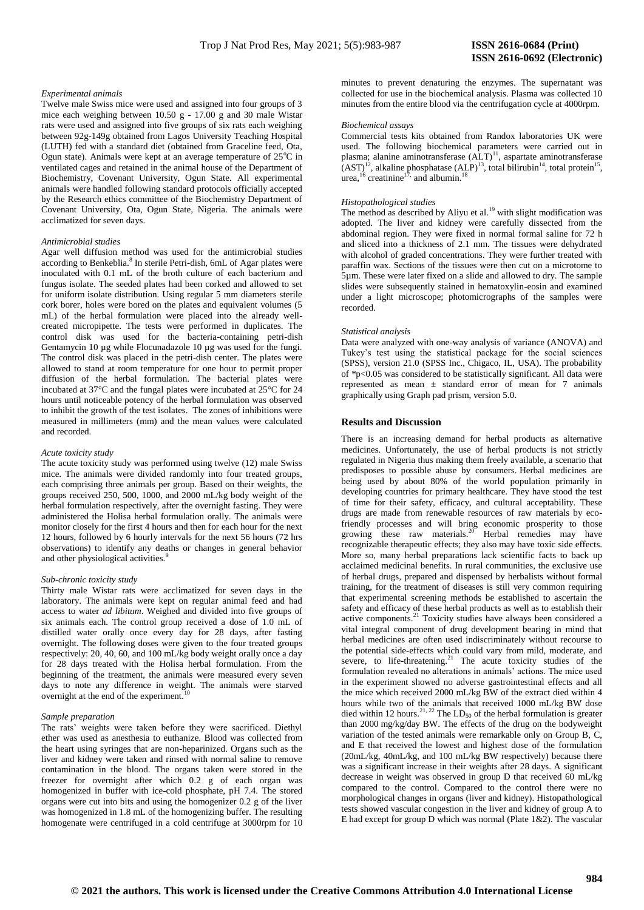#### *Experimental animals*

Twelve male Swiss mice were used and assigned into four groups of 3 mice each weighing between  $10.50$  g -  $17.00$  g and 30 male Wistar rats were used and assigned into five groups of six rats each weighing between 92g-149g obtained from Lagos University Teaching Hospital (LUTH) fed with a standard diet (obtained from Graceline feed, Ota, Ogun state). Animals were kept at an average temperature of  $25^{\circ}$ C in ventilated cages and retained in the animal house of the Department of Biochemistry, Covenant University, Ogun State. All experimental animals were handled following standard protocols officially accepted by the Research ethics committee of the Biochemistry Department of Covenant University, Ota, Ogun State, Nigeria. The animals were acclimatized for seven days.

#### *Antimicrobial studies*

Agar well diffusion method was used for the antimicrobial studies according to Benkeblia.<sup>8</sup> In sterile Petri-dish, 6mL of Agar plates were inoculated with 0.1 mL of the broth culture of each bacterium and fungus isolate. The seeded plates had been corked and allowed to set for uniform isolate distribution. Using regular 5 mm diameters sterile cork borer, holes were bored on the plates and equivalent volumes (5 mL) of the herbal formulation were placed into the already wellcreated micropipette. The tests were performed in duplicates. The control disk was used for the bacteria-containing petri-dish Gentamycin 10 µg while Flocunadazole 10 µg was used for the fungi. The control disk was placed in the petri-dish center. The plates were allowed to stand at room temperature for one hour to permit proper diffusion of the herbal formulation. The bacterial plates were incubated at 37°C and the fungal plates were incubated at 25°C for 24 hours until noticeable potency of the herbal formulation was observed to inhibit the growth of the test isolates. The zones of inhibitions were measured in millimeters (mm) and the mean values were calculated and recorded.

#### *Acute toxicity study*

The acute toxicity study was performed using twelve (12) male Swiss mice. The animals were divided randomly into four treated groups, each comprising three animals per group. Based on their weights, the groups received 250, 500, 1000, and 2000 mL/kg body weight of the herbal formulation respectively, after the overnight fasting. They were administered the Holisa herbal formulation orally. The animals were monitor closely for the first 4 hours and then for each hour for the next 12 hours, followed by 6 hourly intervals for the next 56 hours (72 hrs observations) to identify any deaths or changes in general behavior and other physiological activities.<sup>9</sup>

#### *Sub-chronic toxicity study*

Thirty male Wistar rats were acclimatized for seven days in the laboratory. The animals were kept on regular animal feed and had access to water *ad libitum*. Weighed and divided into five groups of six animals each. The control group received a dose of 1.0 mL of distilled water orally once every day for 28 days, after fasting overnight. The following doses were given to the four treated groups respectively: 20, 40, 60, and 100 mL/kg body weight orally once a day for 28 days treated with the Holisa herbal formulation. From the beginning of the treatment, the animals were measured every seven days to note any difference in weight. The animals were starved overnight at the end of the experiment. 10

#### *Sample preparation*

The rats' weights were taken before they were sacrificed. Diethyl ether was used as anesthesia to euthanize. Blood was collected from the heart using syringes that are non-heparinized. Organs such as the liver and kidney were taken and rinsed with normal saline to remove contamination in the blood. The organs taken were stored in the freezer for overnight after which 0.2 g of each organ was homogenized in buffer with ice-cold phosphate, pH 7.4. The stored organs were cut into bits and using the homogenizer 0.2 g of the liver was homogenized in 1.8 mL of the homogenizing buffer. The resulting homogenate were centrifuged in a cold centrifuge at 3000rpm for 10

minutes to prevent denaturing the enzymes. The supernatant was collected for use in the biochemical analysis. Plasma was collected 10 minutes from the entire blood via the centrifugation cycle at 4000rpm.

#### *Biochemical assays*

Commercial tests kits obtained from Randox laboratories UK were used. The following biochemical parameters were carried out in plasma; alanine aminotransferase (ALT)<sup>11</sup>, aspartate aminotransferase  $(AST)^{12}$ , alkaline phosphatase  $(ALP)^{13}$ , total bilirubin<sup>14</sup>, total protein<sup>15</sup>, urea,  $16$  creatinine<sup>17</sup>, and albumin.<sup>18</sup>

#### *Histopathological studies*

The method as described by Aliyu et al.<sup>19</sup> with slight modification was adopted. The liver and kidney were carefully dissected from the abdominal region. They were fixed in normal formal saline for 72 h and sliced into a thickness of 2.1 mm. The tissues were dehydrated with alcohol of graded concentrations. They were further treated with paraffin wax. Sections of the tissues were then cut on a microtome to 5µm. These were later fixed on a slide and allowed to dry. The sample slides were subsequently stained in hematoxylin-eosin and examined under a light microscope; photomicrographs of the samples were recorded.

#### *Statistical analysis*

Data were analyzed with one-way analysis of variance (ANOVA) and Tukey's test using the statistical package for the social sciences (SPSS), version 21.0 (SPSS Inc., Chigaco, IL, USA). The probability of \*p<0.05 was considered to be statistically significant. All data were represented as mean ± standard error of mean for 7 animals graphically using Graph pad prism, version 5.0.

#### **Results and Discussion**

There is an increasing demand for herbal products as alternative medicines. Unfortunately, the use of herbal products is not strictly regulated in Nigeria thus making them freely available, a scenario that predisposes to possible abuse by consumers. Herbal medicines are being used by about 80% of the world population primarily in developing countries for primary healthcare. They have stood the test of time for their safety, efficacy, and cultural acceptability. These drugs are made from renewable resources of raw materials by ecofriendly processes and will bring economic prosperity to those growing these raw materials.<sup>20</sup> Herbal remedies may have recognizable therapeutic effects; they also may have toxic side effects. More so, many herbal preparations lack scientific facts to back up acclaimed medicinal benefits. In rural communities, the exclusive use of herbal drugs, prepared and dispensed by herbalists without formal training, for the treatment of diseases is still very common requiring that experimental screening methods be established to ascertain the safety and efficacy of these herbal products as well as to establish their active components.<sup>21</sup> Toxicity studies have always been considered a vital integral component of drug development bearing in mind that herbal medicines are often used indiscriminately without recourse to the potential side-effects which could vary from mild, moderate, and severe, to life-threatening. $21$  The acute toxicity studies of the formulation revealed no alterations in animals' actions. The mice used in the experiment showed no adverse gastrointestinal effects and all the mice which received 2000 mL/kg BW of the extract died within 4 hours while two of the animals that received 1000 mL/kg BW dose died within 12 hours.<sup>21, 22</sup> The LD<sub>50</sub> of the herbal formulation is greater than 2000 mg/kg/day BW. The effects of the drug on the bodyweight variation of the tested animals were remarkable only on Group B, C, and E that received the lowest and highest dose of the formulation (20mL/kg, 40mL/kg, and 100 mL/kg BW respectively) because there was a significant increase in their weights after 28 days. A significant decrease in weight was observed in group D that received 60 mL/kg compared to the control. Compared to the control there were no morphological changes in organs (liver and kidney). Histopathological tests showed vascular congestion in the liver and kidney of group A to E had except for group D which was normal (Plate 1&2). The vascular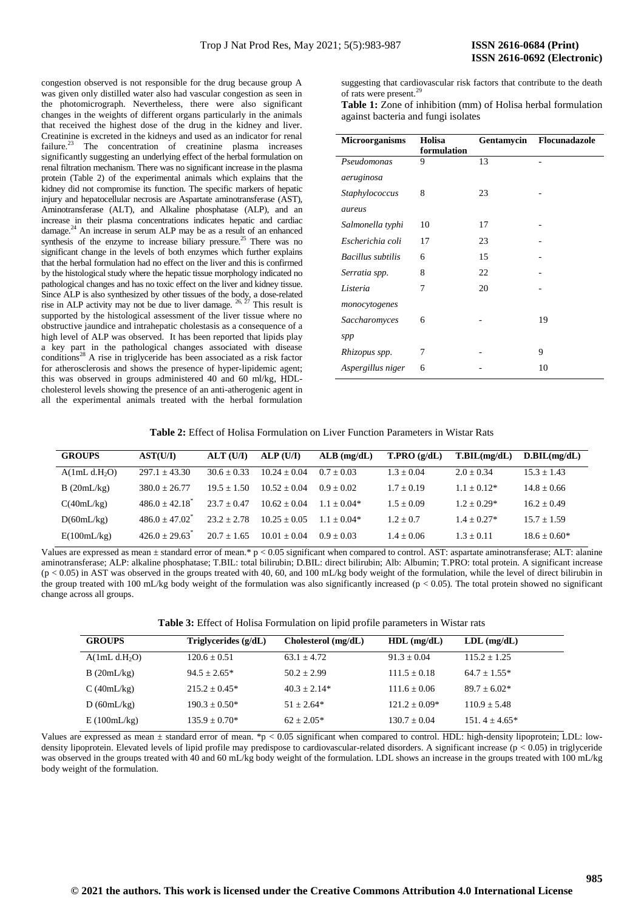congestion observed is not responsible for the drug because group A was given only distilled water also had vascular congestion as seen in the photomicrograph. Nevertheless, there were also significant changes in the weights of different organs particularly in the animals that received the highest dose of the drug in the kidney and liver. Creatinine is excreted in the kidneys and used as an indicator for renal failure.<sup>23</sup> The concentration of creatinine plasma increases significantly suggesting an underlying effect of the herbal formulation on renal filtration mechanism. There was no significant increase in the plasma protein (Table 2) of the experimental animals which explains that the kidney did not compromise its function. The specific markers of hepatic injury and hepatocellular necrosis are Aspartate aminotransferase (AST), Aminotransferase (ALT), and Alkaline phosphatase (ALP), and an increase in their plasma concentrations indicates hepatic and cardiac damage.<sup>24</sup> An increase in serum ALP may be as a result of an enhanced synthesis of the enzyme to increase biliary pressure.<sup>25</sup> There was no significant change in the levels of both enzymes which further explains that the herbal formulation had no effect on the liver and this is confirmed by the histological study where the hepatic tissue morphology indicated no pathological changes and has no toxic effect on the liver and kidney tissue. Since ALP is also synthesized by other tissues of the body, a dose-related rise in ALP activity may not be due to liver damage.  $26, \frac{27}{7}$  This result is supported by the histological assessment of the liver tissue where no obstructive jaundice and intrahepatic cholestasis as a consequence of a high level of ALP was observed. It has been reported that lipids play a key part in the pathological changes associated with disease  $conditions<sup>28</sup>$  A rise in triglyceride has been associated as a risk factor for atherosclerosis and shows the presence of hyper-lipidemic agent; this was observed in groups administered 40 and 60 ml/kg, HDLcholesterol levels showing the presence of an anti-atherogenic agent in all the experimental animals treated with the herbal formulation

suggesting that cardiovascular risk factors that contribute to the death of rats were present.<sup>29</sup>

**Table 1:** Zone of inhibition (mm) of Holisa herbal formulation against bacteria and fungi isolates

| <b>Microorganisms</b>    | Holisa      | Gentamycin | Flocunadazole |  |
|--------------------------|-------------|------------|---------------|--|
|                          | formulation |            |               |  |
| Pseudomonas              | 9           | 13         |               |  |
| aeruginosa               |             |            |               |  |
| Staphylococcus           | 8           | 23         |               |  |
| aureus                   |             |            |               |  |
| Salmonella typhi         | 10          | 17         |               |  |
| Escherichia coli         | 17          | 23         |               |  |
| <b>Bacillus</b> subtilis | 6           | 15         |               |  |
| Serratia spp.            | 8           | 22         |               |  |
| Listeria                 | 7           | 20         |               |  |
| monocytogenes            |             |            |               |  |
| Saccharomyces            | 6           |            | 19            |  |
| spp                      |             |            |               |  |
| Rhizopus spp.            | 7           |            | 9             |  |
| Aspergillus niger        | 6           |            | 10            |  |

**Table 2:** Effect of Holisa Formulation on Liver Function Parameters in Wistar Rats

| <b>GROUPS</b>             | AST(U/I)                | ALT (U/I)     | ALP(U/I)       | $ALB$ (mg/dL) | T.PRO(g/dL)  | T.BIL(mg/dL)  | D.BIL(mg/dL)   |
|---------------------------|-------------------------|---------------|----------------|---------------|--------------|---------------|----------------|
| A(1mL d.H <sub>2</sub> O) | $297.1 + 43.30$         | $30.6 + 0.33$ | $10.24 + 0.04$ | $0.7 + 0.03$  | $1.3 + 0.04$ | $2.0 + 0.34$  | $15.3 + 1.43$  |
| B(20mL/kg)                | $380.0 + 26.77$         | $19.5 + 1.50$ | $10.52 + 0.04$ | $0.9 + 0.02$  | $1.7 + 0.19$ | $1.1 + 0.12*$ | $14.8 + 0.66$  |
| C(40mL/kg)                | $486.0 + 42.18$         | $23.7 + 0.47$ | $10.62 + 0.04$ | $1.1 + 0.04*$ | $1.5 + 0.09$ | $1.2 + 0.29*$ | $16.2 + 0.49$  |
| D(60mL/kg)                | $486.0 + 47.02^{\circ}$ | $23.2 + 2.78$ | $10.25 + 0.05$ | $1.1 + 0.04*$ | $1.2 + 0.7$  | $1.4 + 0.27*$ | $15.7 + 1.59$  |
| E(100mL/kg)               | $426.0 + 29.63$         | $20.7 + 1.65$ | $10.01 + 0.04$ | $0.9 + 0.03$  | $1.4 + 0.06$ | $1.3 + 0.11$  | $18.6 + 0.60*$ |

Values are expressed as mean  $\pm$  standard error of mean.\* p < 0.05 significant when compared to control. AST: aspartate aminotransferase; ALT: alanine aminotransferase; ALP: alkaline phosphatase; T.BIL: total bilirubin; D.BIL: direct bilirubin; Alb: Albumin; T.PRO: total protein. A significant increase  $(p < 0.05)$  in AST was observed in the groups treated with 40, 60, and 100 mL/kg body weight of the formulation, while the level of direct bilirubin in the group treated with 100 mL/kg body weight of the formulation was also significantly increased ( $p < 0.05$ ). The total protein showed no significant change across all groups.

**Table 3:** Effect of Holisa Formulation on lipid profile parameters in Wistar rats

| <b>GROUPS</b>             | Triglycerides $(g/dL)$ | $Cholesterol$ (mg/dL) | $HDL$ (mg/dL)    | $LDL$ (mg/dL)   |
|---------------------------|------------------------|-----------------------|------------------|-----------------|
| A(1mL d.H <sub>2</sub> O) | $120.6 + 0.51$         | $63.1 \pm 4.72$       | $91.3 + 0.04$    | $115.2 + 1.25$  |
| B(20mL/kg)                | $94.5 + 2.65*$         | $50.2 + 2.99$         | $111.5 \pm 0.18$ | $64.7 + 1.55*$  |
| C(40mL/kg)                | $215.2 + 0.45*$        | $40.3 + 2.14*$        | $111.6 \pm 0.06$ | $89.7 + 6.02*$  |
| D(60mL/kg)                | $190.3 + 0.50*$        | $51 + 2.64*$          | $121.2 + 0.09*$  | $110.9 + 5.48$  |
| E(100mL/kg)               | $135.9 + 0.70*$        | $62 + 2.05*$          | $130.7 \pm 0.04$ | $151.4 + 4.65*$ |

Values are expressed as mean  $\pm$  standard error of mean. \*p < 0.05 significant when compared to control. HDL: high-density lipoprotein; LDL: lowdensity lipoprotein. Elevated levels of lipid profile may predispose to cardiovascular-related disorders. A significant increase (p < 0.05) in triglyceride was observed in the groups treated with 40 and 60 mL/kg body weight of the formulation. LDL shows an increase in the groups treated with 100 mL/kg body weight of the formulation.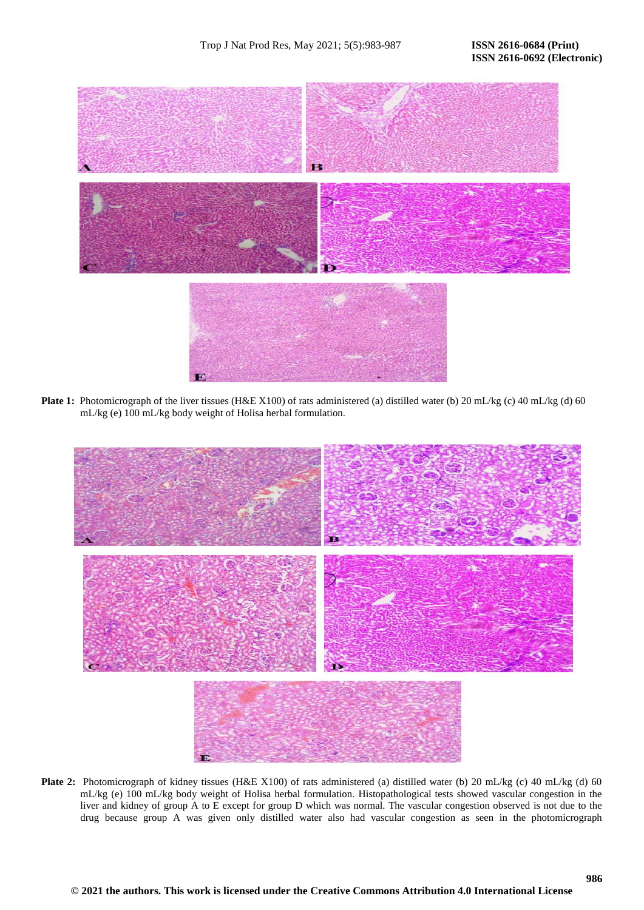

Plate 1: Photomicrograph of the liver tissues (H&E X100) of rats administered (a) distilled water (b) 20 mL/kg (c) 40 mL/kg (d) 60 mL/kg (e) 100 mL/kg body weight of Holisa herbal formulation.



**Plate 2:** Photomicrograph of kidney tissues (H&E X100) of rats administered (a) distilled water (b) 20 mL/kg (c) 40 mL/kg (d) 60 mL/kg (e) 100 mL/kg body weight of Holisa herbal formulation. Histopathological tests showed vascular congestion in the liver and kidney of group A to E except for group D which was normal. The vascular congestion observed is not due to the drug because group A was given only distilled water also had vascular congestion as seen in the photomicrograph